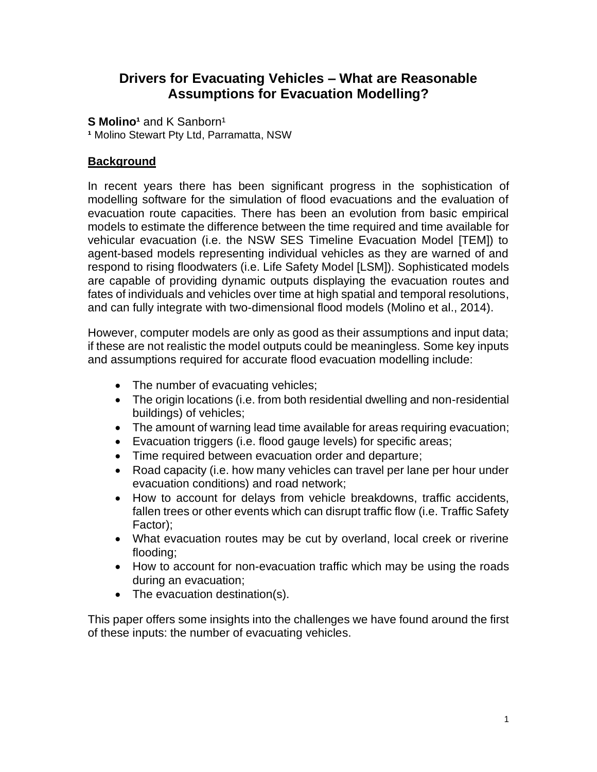# **Drivers for Evacuating Vehicles – What are Reasonable Assumptions for Evacuation Modelling?**

**S Molino<sup>1</sup>** and K Sanborn<sup>1</sup>

**¹** Molino Stewart Pty Ltd, Parramatta, NSW

# **Background**

In recent years there has been significant progress in the sophistication of modelling software for the simulation of flood evacuations and the evaluation of evacuation route capacities. There has been an evolution from basic empirical models to estimate the difference between the time required and time available for vehicular evacuation (i.e. the NSW SES Timeline Evacuation Model [TEM]) to agent-based models representing individual vehicles as they are warned of and respond to rising floodwaters (i.e. Life Safety Model [LSM]). Sophisticated models are capable of providing dynamic outputs displaying the evacuation routes and fates of individuals and vehicles over time at high spatial and temporal resolutions, and can fully integrate with two-dimensional flood models (Molino et al., 2014).

However, computer models are only as good as their assumptions and input data; if these are not realistic the model outputs could be meaningless. Some key inputs and assumptions required for accurate flood evacuation modelling include:

- The number of evacuating vehicles;
- The origin locations (i.e. from both residential dwelling and non-residential buildings) of vehicles;
- The amount of warning lead time available for areas requiring evacuation;
- Evacuation triggers (i.e. flood gauge levels) for specific areas;
- Time required between evacuation order and departure;
- Road capacity (i.e. how many vehicles can travel per lane per hour under evacuation conditions) and road network;
- How to account for delays from vehicle breakdowns, traffic accidents, fallen trees or other events which can disrupt traffic flow (i.e. Traffic Safety Factor);
- What evacuation routes may be cut by overland, local creek or riverine flooding;
- How to account for non-evacuation traffic which may be using the roads during an evacuation;
- The evacuation destination(s).

This paper offers some insights into the challenges we have found around the first of these inputs: the number of evacuating vehicles.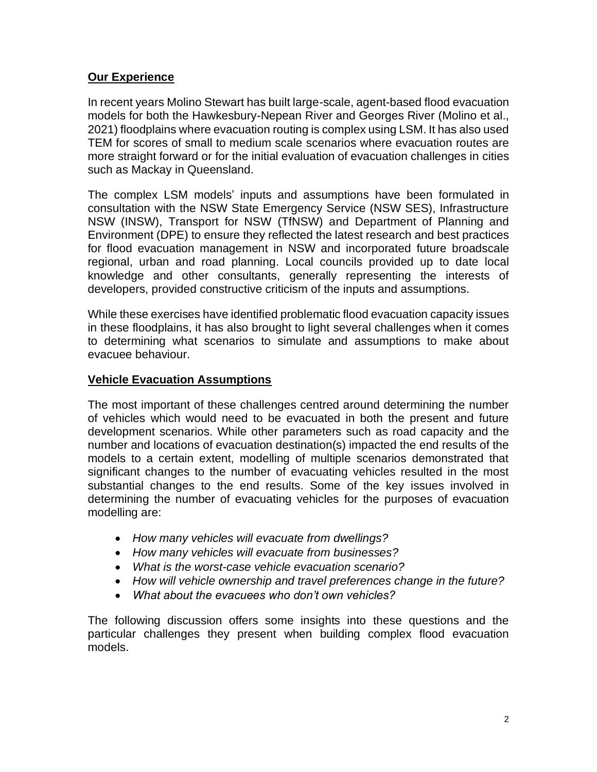# **Our Experience**

In recent years Molino Stewart has built large-scale, agent-based flood evacuation models for both the Hawkesbury-Nepean River and Georges River (Molino et al., 2021) floodplains where evacuation routing is complex using LSM. It has also used TEM for scores of small to medium scale scenarios where evacuation routes are more straight forward or for the initial evaluation of evacuation challenges in cities such as Mackay in Queensland.

The complex LSM models' inputs and assumptions have been formulated in consultation with the NSW State Emergency Service (NSW SES), Infrastructure NSW (INSW), Transport for NSW (TfNSW) and Department of Planning and Environment (DPE) to ensure they reflected the latest research and best practices for flood evacuation management in NSW and incorporated future broadscale regional, urban and road planning. Local councils provided up to date local knowledge and other consultants, generally representing the interests of developers, provided constructive criticism of the inputs and assumptions.

While these exercises have identified problematic flood evacuation capacity issues in these floodplains, it has also brought to light several challenges when it comes to determining what scenarios to simulate and assumptions to make about evacuee behaviour.

# **Vehicle Evacuation Assumptions**

The most important of these challenges centred around determining the number of vehicles which would need to be evacuated in both the present and future development scenarios. While other parameters such as road capacity and the number and locations of evacuation destination(s) impacted the end results of the models to a certain extent, modelling of multiple scenarios demonstrated that significant changes to the number of evacuating vehicles resulted in the most substantial changes to the end results. Some of the key issues involved in determining the number of evacuating vehicles for the purposes of evacuation modelling are:

- *How many vehicles will evacuate from dwellings?*
- *How many vehicles will evacuate from businesses?*
- *What is the worst-case vehicle evacuation scenario?*
- *How will vehicle ownership and travel preferences change in the future?*
- *What about the evacuees who don't own vehicles?*

The following discussion offers some insights into these questions and the particular challenges they present when building complex flood evacuation models.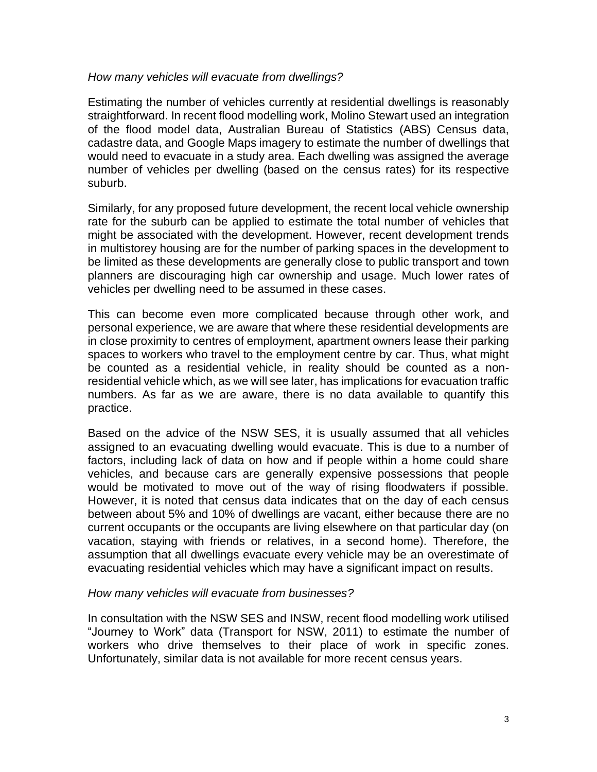### *How many vehicles will evacuate from dwellings?*

Estimating the number of vehicles currently at residential dwellings is reasonably straightforward. In recent flood modelling work, Molino Stewart used an integration of the flood model data, Australian Bureau of Statistics (ABS) Census data, cadastre data, and Google Maps imagery to estimate the number of dwellings that would need to evacuate in a study area. Each dwelling was assigned the average number of vehicles per dwelling (based on the census rates) for its respective suburb.

Similarly, for any proposed future development, the recent local vehicle ownership rate for the suburb can be applied to estimate the total number of vehicles that might be associated with the development. However, recent development trends in multistorey housing are for the number of parking spaces in the development to be limited as these developments are generally close to public transport and town planners are discouraging high car ownership and usage. Much lower rates of vehicles per dwelling need to be assumed in these cases.

This can become even more complicated because through other work, and personal experience, we are aware that where these residential developments are in close proximity to centres of employment, apartment owners lease their parking spaces to workers who travel to the employment centre by car. Thus, what might be counted as a residential vehicle, in reality should be counted as a nonresidential vehicle which, as we will see later, has implications for evacuation traffic numbers. As far as we are aware, there is no data available to quantify this practice.

Based on the advice of the NSW SES, it is usually assumed that all vehicles assigned to an evacuating dwelling would evacuate. This is due to a number of factors, including lack of data on how and if people within a home could share vehicles, and because cars are generally expensive possessions that people would be motivated to move out of the way of rising floodwaters if possible. However, it is noted that census data indicates that on the day of each census between about 5% and 10% of dwellings are vacant, either because there are no current occupants or the occupants are living elsewhere on that particular day (on vacation, staying with friends or relatives, in a second home). Therefore, the assumption that all dwellings evacuate every vehicle may be an overestimate of evacuating residential vehicles which may have a significant impact on results.

#### *How many vehicles will evacuate from businesses?*

In consultation with the NSW SES and INSW, recent flood modelling work utilised "Journey to Work" data (Transport for NSW, 2011) to estimate the number of workers who drive themselves to their place of work in specific zones. Unfortunately, similar data is not available for more recent census years.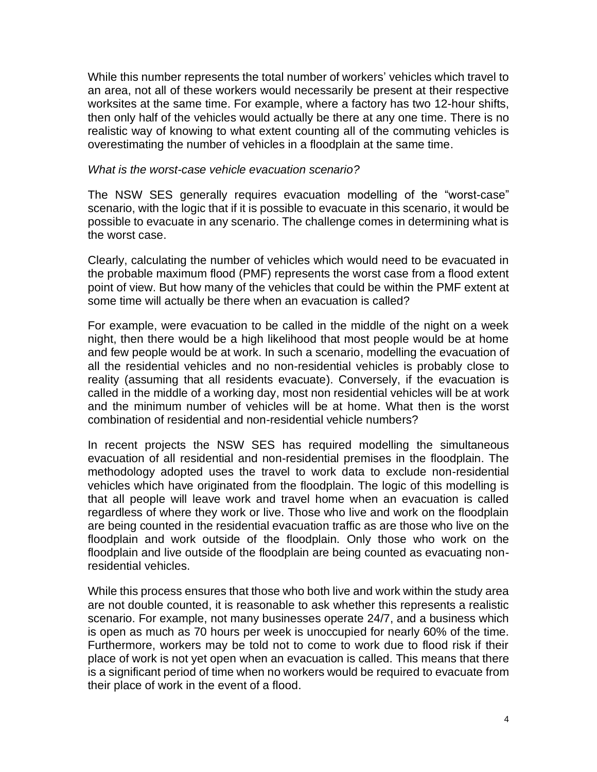While this number represents the total number of workers' vehicles which travel to an area, not all of these workers would necessarily be present at their respective worksites at the same time. For example, where a factory has two 12-hour shifts, then only half of the vehicles would actually be there at any one time. There is no realistic way of knowing to what extent counting all of the commuting vehicles is overestimating the number of vehicles in a floodplain at the same time.

#### *What is the worst-case vehicle evacuation scenario?*

The NSW SES generally requires evacuation modelling of the "worst-case" scenario, with the logic that if it is possible to evacuate in this scenario, it would be possible to evacuate in any scenario. The challenge comes in determining what is the worst case.

Clearly, calculating the number of vehicles which would need to be evacuated in the probable maximum flood (PMF) represents the worst case from a flood extent point of view. But how many of the vehicles that could be within the PMF extent at some time will actually be there when an evacuation is called?

For example, were evacuation to be called in the middle of the night on a week night, then there would be a high likelihood that most people would be at home and few people would be at work. In such a scenario, modelling the evacuation of all the residential vehicles and no non-residential vehicles is probably close to reality (assuming that all residents evacuate). Conversely, if the evacuation is called in the middle of a working day, most non residential vehicles will be at work and the minimum number of vehicles will be at home. What then is the worst combination of residential and non-residential vehicle numbers?

In recent projects the NSW SES has required modelling the simultaneous evacuation of all residential and non-residential premises in the floodplain. The methodology adopted uses the travel to work data to exclude non-residential vehicles which have originated from the floodplain. The logic of this modelling is that all people will leave work and travel home when an evacuation is called regardless of where they work or live. Those who live and work on the floodplain are being counted in the residential evacuation traffic as are those who live on the floodplain and work outside of the floodplain. Only those who work on the floodplain and live outside of the floodplain are being counted as evacuating nonresidential vehicles.

While this process ensures that those who both live and work within the study area are not double counted, it is reasonable to ask whether this represents a realistic scenario. For example, not many businesses operate 24/7, and a business which is open as much as 70 hours per week is unoccupied for nearly 60% of the time. Furthermore, workers may be told not to come to work due to flood risk if their place of work is not yet open when an evacuation is called. This means that there is a significant period of time when no workers would be required to evacuate from their place of work in the event of a flood.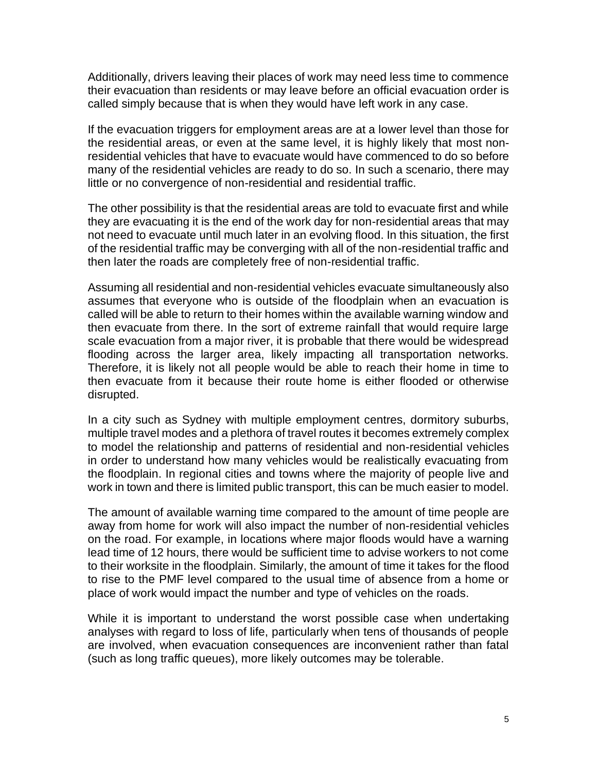Additionally, drivers leaving their places of work may need less time to commence their evacuation than residents or may leave before an official evacuation order is called simply because that is when they would have left work in any case.

If the evacuation triggers for employment areas are at a lower level than those for the residential areas, or even at the same level, it is highly likely that most nonresidential vehicles that have to evacuate would have commenced to do so before many of the residential vehicles are ready to do so. In such a scenario, there may little or no convergence of non-residential and residential traffic.

The other possibility is that the residential areas are told to evacuate first and while they are evacuating it is the end of the work day for non-residential areas that may not need to evacuate until much later in an evolving flood. In this situation, the first of the residential traffic may be converging with all of the non-residential traffic and then later the roads are completely free of non-residential traffic.

Assuming all residential and non-residential vehicles evacuate simultaneously also assumes that everyone who is outside of the floodplain when an evacuation is called will be able to return to their homes within the available warning window and then evacuate from there. In the sort of extreme rainfall that would require large scale evacuation from a major river, it is probable that there would be widespread flooding across the larger area, likely impacting all transportation networks. Therefore, it is likely not all people would be able to reach their home in time to then evacuate from it because their route home is either flooded or otherwise disrupted.

In a city such as Sydney with multiple employment centres, dormitory suburbs, multiple travel modes and a plethora of travel routes it becomes extremely complex to model the relationship and patterns of residential and non-residential vehicles in order to understand how many vehicles would be realistically evacuating from the floodplain. In regional cities and towns where the majority of people live and work in town and there is limited public transport, this can be much easier to model.

The amount of available warning time compared to the amount of time people are away from home for work will also impact the number of non-residential vehicles on the road. For example, in locations where major floods would have a warning lead time of 12 hours, there would be sufficient time to advise workers to not come to their worksite in the floodplain. Similarly, the amount of time it takes for the flood to rise to the PMF level compared to the usual time of absence from a home or place of work would impact the number and type of vehicles on the roads.

While it is important to understand the worst possible case when undertaking analyses with regard to loss of life, particularly when tens of thousands of people are involved, when evacuation consequences are inconvenient rather than fatal (such as long traffic queues), more likely outcomes may be tolerable.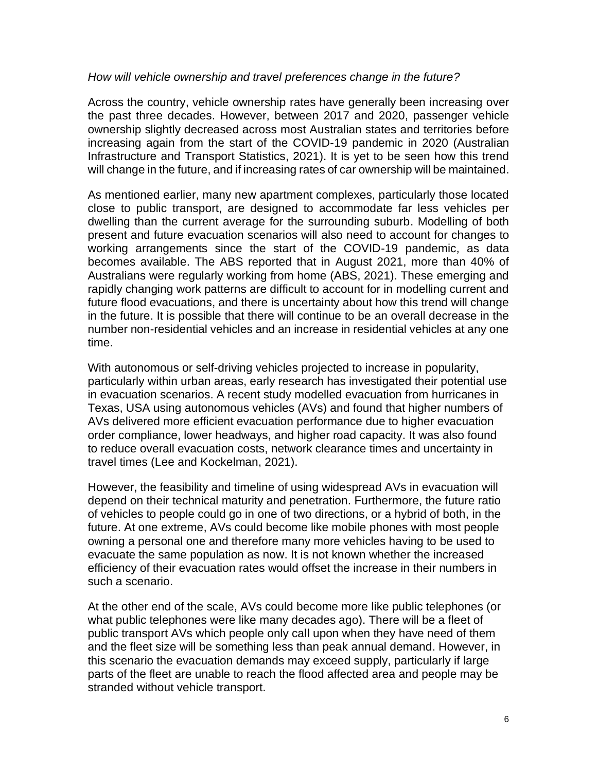### *How will vehicle ownership and travel preferences change in the future?*

Across the country, vehicle ownership rates have generally been increasing over the past three decades. However, between 2017 and 2020, passenger vehicle ownership slightly decreased across most Australian states and territories before increasing again from the start of the COVID-19 pandemic in 2020 (Australian Infrastructure and Transport Statistics, 2021). It is yet to be seen how this trend will change in the future, and if increasing rates of car ownership will be maintained.

As mentioned earlier, many new apartment complexes, particularly those located close to public transport, are designed to accommodate far less vehicles per dwelling than the current average for the surrounding suburb. Modelling of both present and future evacuation scenarios will also need to account for changes to working arrangements since the start of the COVID-19 pandemic, as data becomes available. The ABS reported that in August 2021, more than 40% of Australians were regularly working from home (ABS, 2021). These emerging and rapidly changing work patterns are difficult to account for in modelling current and future flood evacuations, and there is uncertainty about how this trend will change in the future. It is possible that there will continue to be an overall decrease in the number non-residential vehicles and an increase in residential vehicles at any one time.

With autonomous or self-driving vehicles projected to increase in popularity, particularly within urban areas, early research has investigated their potential use in evacuation scenarios. A recent study modelled evacuation from hurricanes in Texas, USA using autonomous vehicles (AVs) and found that higher numbers of AVs delivered more efficient evacuation performance due to higher evacuation order compliance, lower headways, and higher road capacity. It was also found to reduce overall evacuation costs, network clearance times and uncertainty in travel times (Lee and Kockelman, 2021).

However, the feasibility and timeline of using widespread AVs in evacuation will depend on their technical maturity and penetration. Furthermore, the future ratio of vehicles to people could go in one of two directions, or a hybrid of both, in the future. At one extreme, AVs could become like mobile phones with most people owning a personal one and therefore many more vehicles having to be used to evacuate the same population as now. It is not known whether the increased efficiency of their evacuation rates would offset the increase in their numbers in such a scenario.

At the other end of the scale, AVs could become more like public telephones (or what public telephones were like many decades ago). There will be a fleet of public transport AVs which people only call upon when they have need of them and the fleet size will be something less than peak annual demand. However, in this scenario the evacuation demands may exceed supply, particularly if large parts of the fleet are unable to reach the flood affected area and people may be stranded without vehicle transport.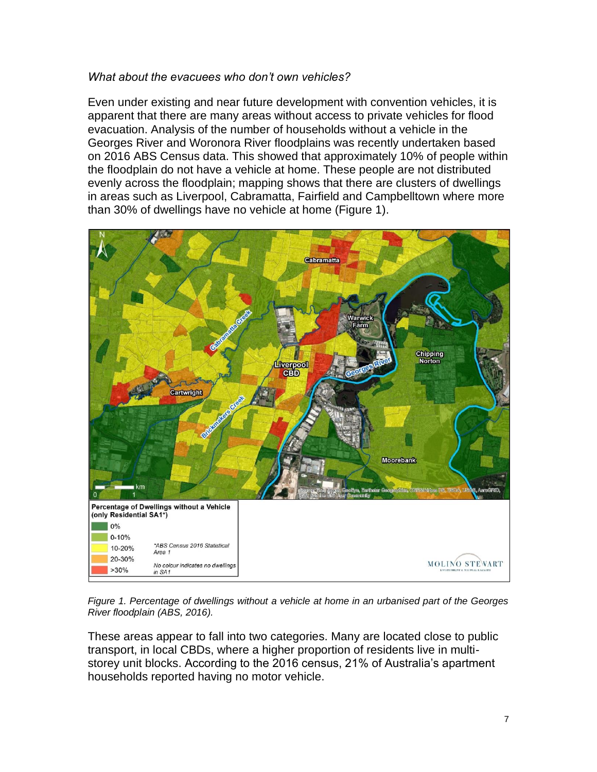## *What about the evacuees who don't own vehicles?*

Even under existing and near future development with convention vehicles, it is apparent that there are many areas without access to private vehicles for flood evacuation. Analysis of the number of households without a vehicle in the Georges River and Woronora River floodplains was recently undertaken based on 2016 ABS Census data. This showed that approximately 10% of people within the floodplain do not have a vehicle at home. These people are not distributed evenly across the floodplain; mapping shows that there are clusters of dwellings in areas such as Liverpool, Cabramatta, Fairfield and Campbelltown where more than 30% of dwellings have no vehicle at home (Figure 1).



*Figure 1. Percentage of dwellings without a vehicle at home in an urbanised part of the Georges River floodplain (ABS, 2016).*

These areas appear to fall into two categories. Many are located close to public transport, in local CBDs, where a higher proportion of residents live in multistorey unit blocks. According to the 2016 census, 21% of Australia's apartment households reported having no motor vehicle.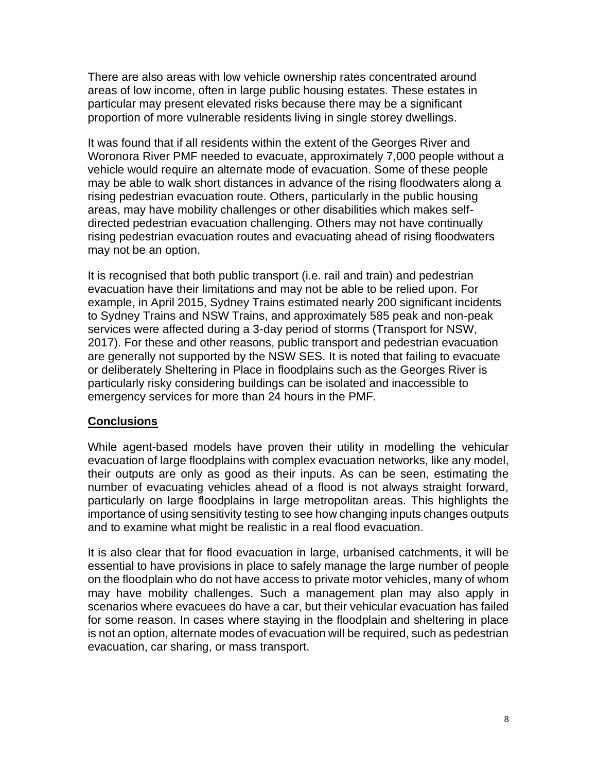There are also areas with low vehicle ownership rates concentrated around areas of low income, often in large public housing estates. These estates in particular may present elevated risks because there may be a significant proportion of more vulnerable residents living in single storey dwellings.

It was found that if all residents within the extent of the Georges River and Woronora River PMF needed to evacuate, approximately 7,000 people without a vehicle would require an alternate mode of evacuation. Some of these people may be able to walk short distances in advance of the rising floodwaters along a rising pedestrian evacuation route. Others, particularly in the public housing areas, may have mobility challenges or other disabilities which makes selfdirected pedestrian evacuation challenging. Others may not have continually rising pedestrian evacuation routes and evacuating ahead of rising floodwaters may not be an option.

It is recognised that both public transport (i.e. rail and train) and pedestrian evacuation have their limitations and may not be able to be relied upon. For example, in April 2015, Sydney Trains estimated nearly 200 significant incidents to Sydney Trains and NSW Trains, and approximately 585 peak and non-peak services were affected during a 3-day period of storms (Transport for NSW, 2017). For these and other reasons, public transport and pedestrian evacuation are generally not supported by the NSW SES. It is noted that failing to evacuate or deliberately Sheltering in Place in floodplains such as the Georges River is particularly risky considering buildings can be isolated and inaccessible to emergency services for more than 24 hours in the PMF.

## **Conclusions**

While agent-based models have proven their utility in modelling the vehicular evacuation of large floodplains with complex evacuation networks, like any model, their outputs are only as good as their inputs. As can be seen, estimating the number of evacuating vehicles ahead of a flood is not always straight forward, particularly on large floodplains in large metropolitan areas. This highlights the importance of using sensitivity testing to see how changing inputs changes outputs and to examine what might be realistic in a real flood evacuation.

It is also clear that for flood evacuation in large, urbanised catchments, it will be essential to have provisions in place to safely manage the large number of people on the floodplain who do not have access to private motor vehicles, many of whom may have mobility challenges. Such a management plan may also apply in scenarios where evacuees do have a car, but their vehicular evacuation has failed for some reason. In cases where staying in the floodplain and sheltering in place is not an option, alternate modes of evacuation will be required, such as pedestrian evacuation, car sharing, or mass transport.